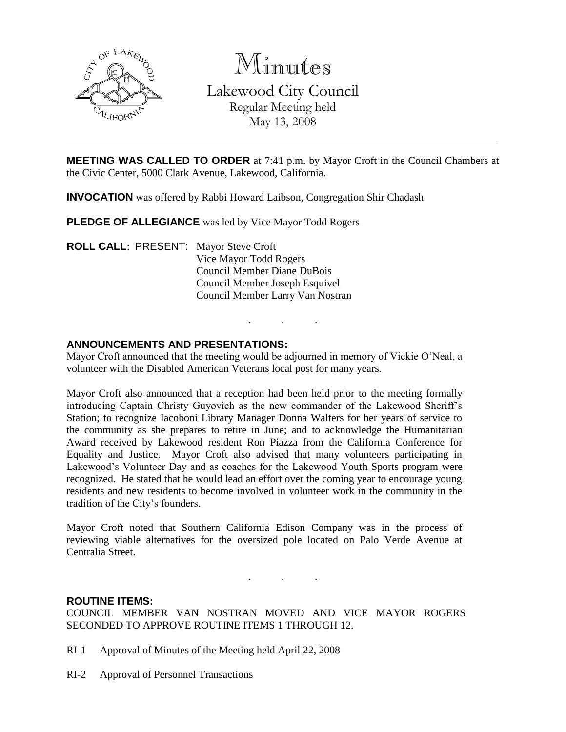

Minutes

Lakewood City Council Regular Meeting held May 13, 2008

**MEETING WAS CALLED TO ORDER** at 7:41 p.m. by Mayor Croft in the Council Chambers at the Civic Center, 5000 Clark Avenue, Lakewood, California.

**INVOCATION** was offered by Rabbi Howard Laibson, Congregation Shir Chadash

**PLEDGE OF ALLEGIANCE** was led by Vice Mayor Todd Rogers

**ROLL CALL**: PRESENT: Mayor Steve Croft Vice Mayor Todd Rogers Council Member Diane DuBois Council Member Joseph Esquivel Council Member Larry Van Nostran

## **ANNOUNCEMENTS AND PRESENTATIONS:**

Mayor Croft announced that the meeting would be adjourned in memory of Vickie O'Neal, a volunteer with the Disabled American Veterans local post for many years.

. . .

Mayor Croft also announced that a reception had been held prior to the meeting formally introducing Captain Christy Guyovich as the new commander of the Lakewood Sheriff's Station; to recognize Iacoboni Library Manager Donna Walters for her years of service to the community as she prepares to retire in June; and to acknowledge the Humanitarian Award received by Lakewood resident Ron Piazza from the California Conference for Equality and Justice. Mayor Croft also advised that many volunteers participating in Lakewood's Volunteer Day and as coaches for the Lakewood Youth Sports program were recognized. He stated that he would lead an effort over the coming year to encourage young residents and new residents to become involved in volunteer work in the community in the tradition of the City's founders.

Mayor Croft noted that Southern California Edison Company was in the process of reviewing viable alternatives for the oversized pole located on Palo Verde Avenue at Centralia Street.

. . .

## **ROUTINE ITEMS:**

COUNCIL MEMBER VAN NOSTRAN MOVED AND VICE MAYOR ROGERS SECONDED TO APPROVE ROUTINE ITEMS 1 THROUGH 12.

- RI-1 Approval of Minutes of the Meeting held April 22, 2008
- RI-2 Approval of Personnel Transactions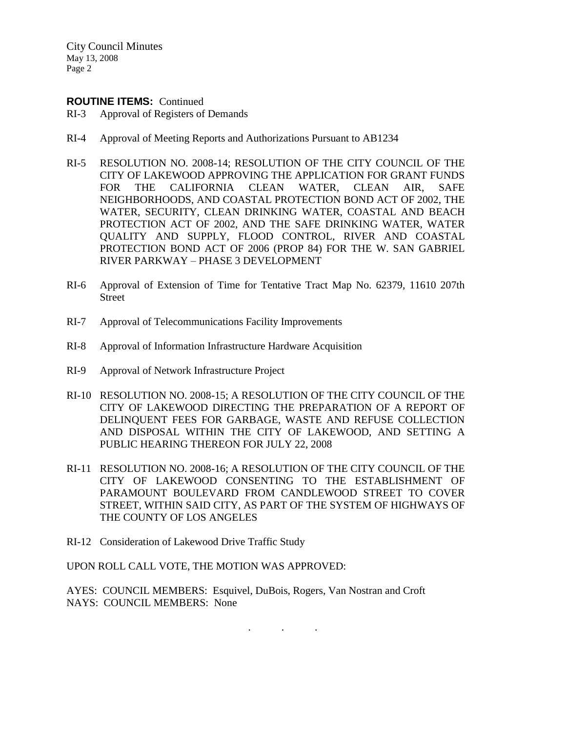City Council Minutes May 13, 2008 Page 2

## **ROUTINE ITEMS:** Continued

- RI-3 Approval of Registers of Demands
- RI-4 Approval of Meeting Reports and Authorizations Pursuant to AB1234
- RI-5 RESOLUTION NO. 2008-14; RESOLUTION OF THE CITY COUNCIL OF THE CITY OF LAKEWOOD APPROVING THE APPLICATION FOR GRANT FUNDS FOR THE CALIFORNIA CLEAN WATER, CLEAN AIR, SAFE NEIGHBORHOODS, AND COASTAL PROTECTION BOND ACT OF 2002, THE WATER, SECURITY, CLEAN DRINKING WATER, COASTAL AND BEACH PROTECTION ACT OF 2002, AND THE SAFE DRINKING WATER, WATER QUALITY AND SUPPLY, FLOOD CONTROL, RIVER AND COASTAL PROTECTION BOND ACT OF 2006 (PROP 84) FOR THE W. SAN GABRIEL RIVER PARKWAY – PHASE 3 DEVELOPMENT
- RI-6 Approval of Extension of Time for Tentative Tract Map No. 62379, 11610 207th Street
- RI-7 Approval of Telecommunications Facility Improvements
- RI-8 Approval of Information Infrastructure Hardware Acquisition
- RI-9 Approval of Network Infrastructure Project
- RI-10 RESOLUTION NO. 2008-15; A RESOLUTION OF THE CITY COUNCIL OF THE CITY OF LAKEWOOD DIRECTING THE PREPARATION OF A REPORT OF DELINQUENT FEES FOR GARBAGE, WASTE AND REFUSE COLLECTION AND DISPOSAL WITHIN THE CITY OF LAKEWOOD, AND SETTING A PUBLIC HEARING THEREON FOR JULY 22, 2008
- RI-11 RESOLUTION NO. 2008-16; A RESOLUTION OF THE CITY COUNCIL OF THE CITY OF LAKEWOOD CONSENTING TO THE ESTABLISHMENT OF PARAMOUNT BOULEVARD FROM CANDLEWOOD STREET TO COVER STREET, WITHIN SAID CITY, AS PART OF THE SYSTEM OF HIGHWAYS OF THE COUNTY OF LOS ANGELES
- RI-12 Consideration of Lakewood Drive Traffic Study

UPON ROLL CALL VOTE, THE MOTION WAS APPROVED:

AYES: COUNCIL MEMBERS: Esquivel, DuBois, Rogers, Van Nostran and Croft NAYS: COUNCIL MEMBERS: None

. . .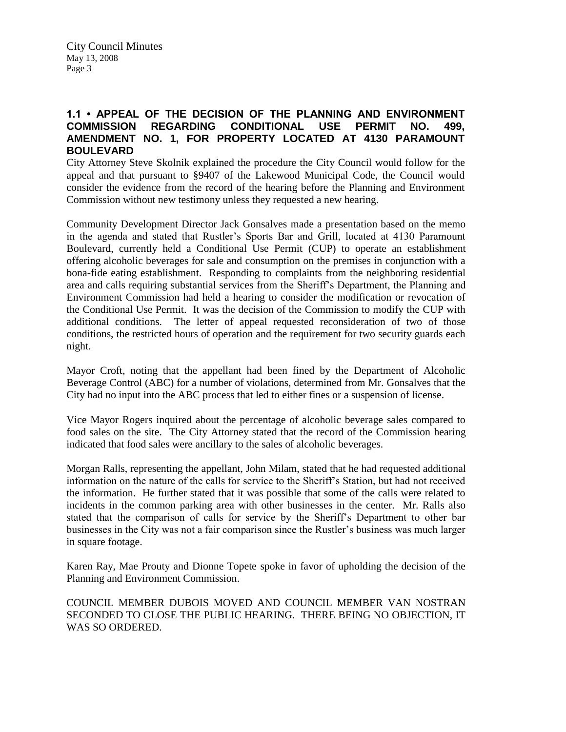# **1.1 • APPEAL OF THE DECISION OF THE PLANNING AND ENVIRONMENT COMMISSION REGARDING CONDITIONAL USE PERMIT NO. 499, AMENDMENT NO. 1, FOR PROPERTY LOCATED AT 4130 PARAMOUNT BOULEVARD**

City Attorney Steve Skolnik explained the procedure the City Council would follow for the appeal and that pursuant to §9407 of the Lakewood Municipal Code, the Council would consider the evidence from the record of the hearing before the Planning and Environment Commission without new testimony unless they requested a new hearing.

Community Development Director Jack Gonsalves made a presentation based on the memo in the agenda and stated that Rustler's Sports Bar and Grill, located at 4130 Paramount Boulevard, currently held a Conditional Use Permit (CUP) to operate an establishment offering alcoholic beverages for sale and consumption on the premises in conjunction with a bona-fide eating establishment. Responding to complaints from the neighboring residential area and calls requiring substantial services from the Sheriff's Department, the Planning and Environment Commission had held a hearing to consider the modification or revocation of the Conditional Use Permit. It was the decision of the Commission to modify the CUP with additional conditions. The letter of appeal requested reconsideration of two of those conditions, the restricted hours of operation and the requirement for two security guards each night.

Mayor Croft, noting that the appellant had been fined by the Department of Alcoholic Beverage Control (ABC) for a number of violations, determined from Mr. Gonsalves that the City had no input into the ABC process that led to either fines or a suspension of license.

Vice Mayor Rogers inquired about the percentage of alcoholic beverage sales compared to food sales on the site. The City Attorney stated that the record of the Commission hearing indicated that food sales were ancillary to the sales of alcoholic beverages.

Morgan Ralls, representing the appellant, John Milam, stated that he had requested additional information on the nature of the calls for service to the Sheriff's Station, but had not received the information. He further stated that it was possible that some of the calls were related to incidents in the common parking area with other businesses in the center. Mr. Ralls also stated that the comparison of calls for service by the Sheriff's Department to other bar businesses in the City was not a fair comparison since the Rustler's business was much larger in square footage.

Karen Ray, Mae Prouty and Dionne Topete spoke in favor of upholding the decision of the Planning and Environment Commission.

COUNCIL MEMBER DUBOIS MOVED AND COUNCIL MEMBER VAN NOSTRAN SECONDED TO CLOSE THE PUBLIC HEARING. THERE BEING NO OBJECTION, IT WAS SO ORDERED.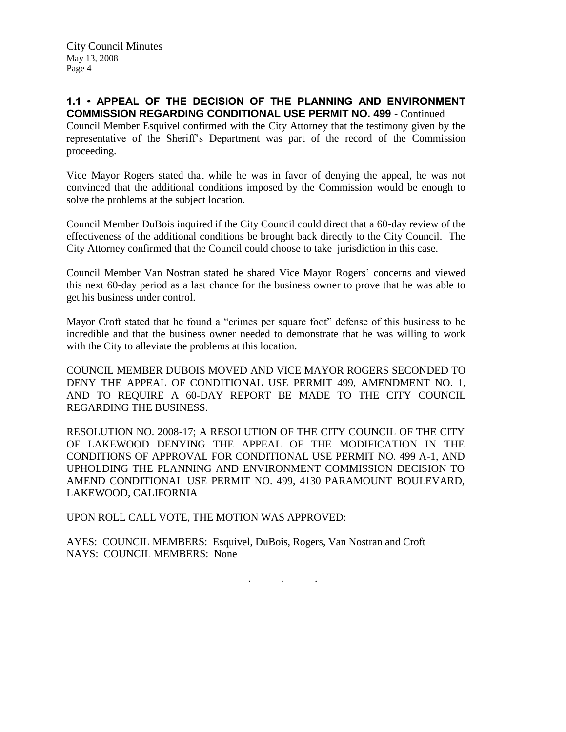City Council Minutes May 13, 2008 Page 4

**1.1 • APPEAL OF THE DECISION OF THE PLANNING AND ENVIRONMENT COMMISSION REGARDING CONDITIONAL USE PERMIT NO. 499** - Continued

Council Member Esquivel confirmed with the City Attorney that the testimony given by the representative of the Sheriff's Department was part of the record of the Commission proceeding.

Vice Mayor Rogers stated that while he was in favor of denying the appeal, he was not convinced that the additional conditions imposed by the Commission would be enough to solve the problems at the subject location.

Council Member DuBois inquired if the City Council could direct that a 60-day review of the effectiveness of the additional conditions be brought back directly to the City Council. The City Attorney confirmed that the Council could choose to take jurisdiction in this case.

Council Member Van Nostran stated he shared Vice Mayor Rogers' concerns and viewed this next 60-day period as a last chance for the business owner to prove that he was able to get his business under control.

Mayor Croft stated that he found a "crimes per square foot" defense of this business to be incredible and that the business owner needed to demonstrate that he was willing to work with the City to alleviate the problems at this location.

COUNCIL MEMBER DUBOIS MOVED AND VICE MAYOR ROGERS SECONDED TO DENY THE APPEAL OF CONDITIONAL USE PERMIT 499, AMENDMENT NO. 1, AND TO REQUIRE A 60-DAY REPORT BE MADE TO THE CITY COUNCIL REGARDING THE BUSINESS.

RESOLUTION NO. 2008-17; A RESOLUTION OF THE CITY COUNCIL OF THE CITY OF LAKEWOOD DENYING THE APPEAL OF THE MODIFICATION IN THE CONDITIONS OF APPROVAL FOR CONDITIONAL USE PERMIT NO. 499 A-1, AND UPHOLDING THE PLANNING AND ENVIRONMENT COMMISSION DECISION TO AMEND CONDITIONAL USE PERMIT NO. 499, 4130 PARAMOUNT BOULEVARD, LAKEWOOD, CALIFORNIA

. . .

UPON ROLL CALL VOTE, THE MOTION WAS APPROVED:

AYES: COUNCIL MEMBERS: Esquivel, DuBois, Rogers, Van Nostran and Croft NAYS: COUNCIL MEMBERS: None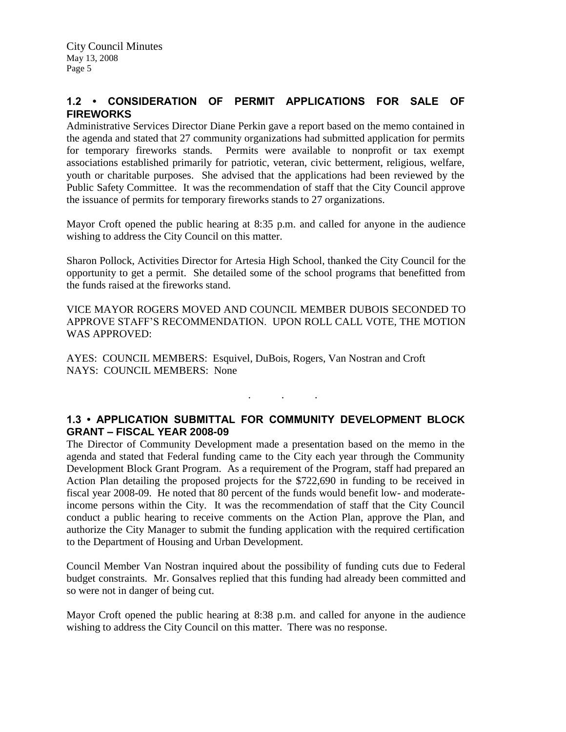# **1.2 • CONSIDERATION OF PERMIT APPLICATIONS FOR SALE OF FIREWORKS**

Administrative Services Director Diane Perkin gave a report based on the memo contained in the agenda and stated that 27 community organizations had submitted application for permits for temporary fireworks stands. Permits were available to nonprofit or tax exempt associations established primarily for patriotic, veteran, civic betterment, religious, welfare, youth or charitable purposes. She advised that the applications had been reviewed by the Public Safety Committee. It was the recommendation of staff that the City Council approve the issuance of permits for temporary fireworks stands to 27 organizations.

Mayor Croft opened the public hearing at 8:35 p.m. and called for anyone in the audience wishing to address the City Council on this matter.

Sharon Pollock, Activities Director for Artesia High School, thanked the City Council for the opportunity to get a permit. She detailed some of the school programs that benefitted from the funds raised at the fireworks stand.

VICE MAYOR ROGERS MOVED AND COUNCIL MEMBER DUBOIS SECONDED TO APPROVE STAFF'S RECOMMENDATION. UPON ROLL CALL VOTE, THE MOTION WAS APPROVED:

AYES: COUNCIL MEMBERS: Esquivel, DuBois, Rogers, Van Nostran and Croft NAYS: COUNCIL MEMBERS: None

# **1.3 • APPLICATION SUBMITTAL FOR COMMUNITY DEVELOPMENT BLOCK GRANT – FISCAL YEAR 2008-09**

. . .

The Director of Community Development made a presentation based on the memo in the agenda and stated that Federal funding came to the City each year through the Community Development Block Grant Program. As a requirement of the Program, staff had prepared an Action Plan detailing the proposed projects for the \$722,690 in funding to be received in fiscal year 2008-09. He noted that 80 percent of the funds would benefit low- and moderateincome persons within the City. It was the recommendation of staff that the City Council conduct a public hearing to receive comments on the Action Plan, approve the Plan, and authorize the City Manager to submit the funding application with the required certification to the Department of Housing and Urban Development.

Council Member Van Nostran inquired about the possibility of funding cuts due to Federal budget constraints. Mr. Gonsalves replied that this funding had already been committed and so were not in danger of being cut.

Mayor Croft opened the public hearing at 8:38 p.m. and called for anyone in the audience wishing to address the City Council on this matter. There was no response.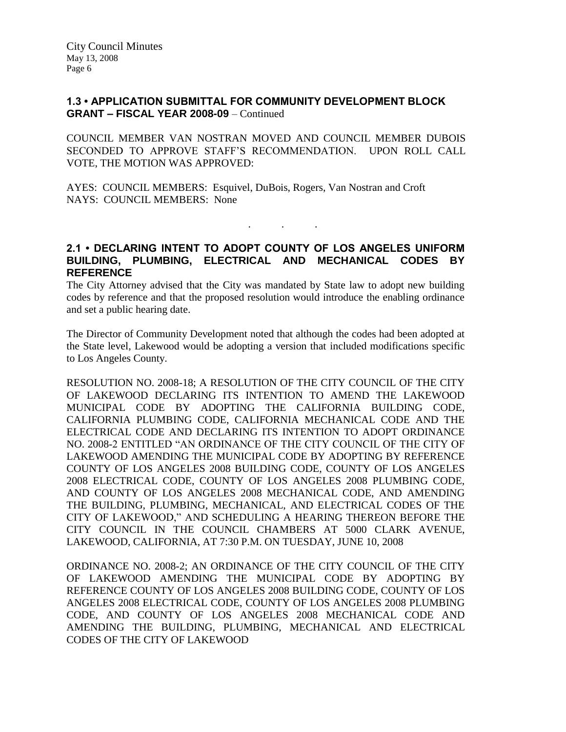## **1.3 • APPLICATION SUBMITTAL FOR COMMUNITY DEVELOPMENT BLOCK GRANT – FISCAL YEAR 2008-09** – Continued

COUNCIL MEMBER VAN NOSTRAN MOVED AND COUNCIL MEMBER DUBOIS SECONDED TO APPROVE STAFF'S RECOMMENDATION. UPON ROLL CALL VOTE, THE MOTION WAS APPROVED:

AYES: COUNCIL MEMBERS: Esquivel, DuBois, Rogers, Van Nostran and Croft NAYS: COUNCIL MEMBERS: None

**2.1 • DECLARING INTENT TO ADOPT COUNTY OF LOS ANGELES UNIFORM BUILDING, PLUMBING, ELECTRICAL AND MECHANICAL CODES BY REFERENCE**

. . .

The City Attorney advised that the City was mandated by State law to adopt new building codes by reference and that the proposed resolution would introduce the enabling ordinance and set a public hearing date.

The Director of Community Development noted that although the codes had been adopted at the State level, Lakewood would be adopting a version that included modifications specific to Los Angeles County.

RESOLUTION NO. 2008-18; A RESOLUTION OF THE CITY COUNCIL OF THE CITY OF LAKEWOOD DECLARING ITS INTENTION TO AMEND THE LAKEWOOD MUNICIPAL CODE BY ADOPTING THE CALIFORNIA BUILDING CODE, CALIFORNIA PLUMBING CODE, CALIFORNIA MECHANICAL CODE AND THE ELECTRICAL CODE AND DECLARING ITS INTENTION TO ADOPT ORDINANCE NO. 2008-2 ENTITLED "AN ORDINANCE OF THE CITY COUNCIL OF THE CITY OF LAKEWOOD AMENDING THE MUNICIPAL CODE BY ADOPTING BY REFERENCE COUNTY OF LOS ANGELES 2008 BUILDING CODE, COUNTY OF LOS ANGELES 2008 ELECTRICAL CODE, COUNTY OF LOS ANGELES 2008 PLUMBING CODE, AND COUNTY OF LOS ANGELES 2008 MECHANICAL CODE, AND AMENDING THE BUILDING, PLUMBING, MECHANICAL, AND ELECTRICAL CODES OF THE CITY OF LAKEWOOD," AND SCHEDULING A HEARING THEREON BEFORE THE CITY COUNCIL IN THE COUNCIL CHAMBERS AT 5000 CLARK AVENUE, LAKEWOOD, CALIFORNIA, AT 7:30 P.M. ON TUESDAY, JUNE 10, 2008

ORDINANCE NO. 2008-2; AN ORDINANCE OF THE CITY COUNCIL OF THE CITY OF LAKEWOOD AMENDING THE MUNICIPAL CODE BY ADOPTING BY REFERENCE COUNTY OF LOS ANGELES 2008 BUILDING CODE, COUNTY OF LOS ANGELES 2008 ELECTRICAL CODE, COUNTY OF LOS ANGELES 2008 PLUMBING CODE, AND COUNTY OF LOS ANGELES 2008 MECHANICAL CODE AND AMENDING THE BUILDING, PLUMBING, MECHANICAL AND ELECTRICAL CODES OF THE CITY OF LAKEWOOD